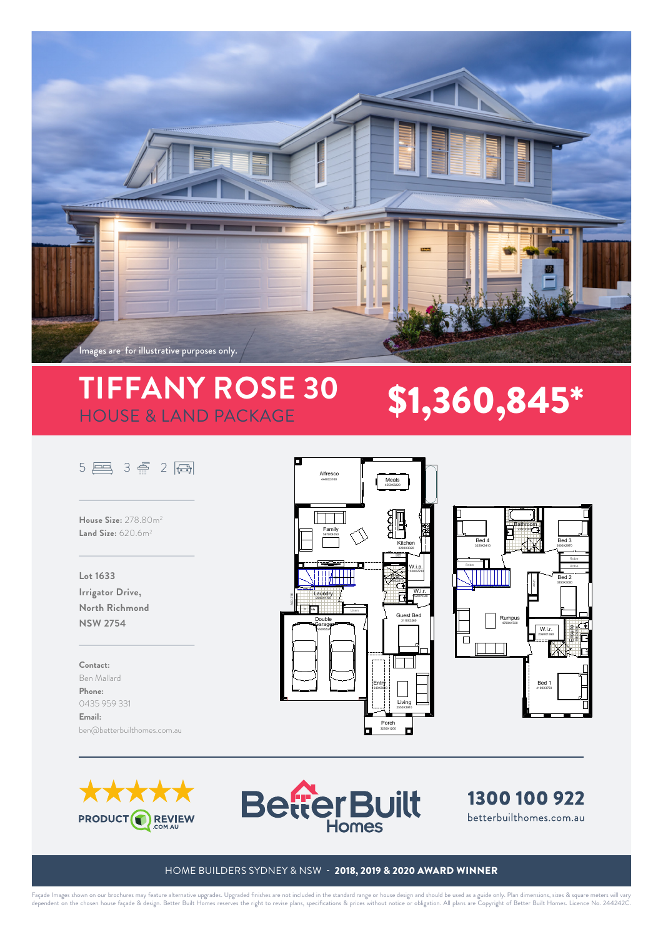

# **TIFFANY ROSE 30 \$1,360,845\***

## 5 图 3 冊 2 圓

**House Size:** 278.80m2 **Land Size:** 620.6m2

**Lot 1633 Irrigator Drive, North Richmond NSW 2754**

**Contact:**  Ben Mallard **Phone:**  0435 959 331 **Email:**  ben@betterbuilthomes.com.au







FACE IN THE STATE OF THE STATE OF THE STATE OF THE STATE OF THE STATE OF THE STATE OF THE STATE OF THE STATE O





SURVEY KEY

**BetterBuilt Homes**

### HOME BUILDERS SYDNEY & NSW - 2018, 2019 & 2020 AWARD WINNER B C D

Façade Images shown on our brochures may feature alternative upgrades. Upgraded finishes are not included in the standard range or house design and should be used as a guide only. Plan dimensions, sizes & square meters wil y. Plan dimensions, sizes &<br>t of Better Built Homes. t of Better Built Flomes. Liv i.<br>e: SCALE gn. Better Built Home **Tiffany Rose 30 MK2 Traditional** quare meters will vary<br>cence No. 244242C. F G H I JOB # 75 OG FACADE WIND pecincations & prices